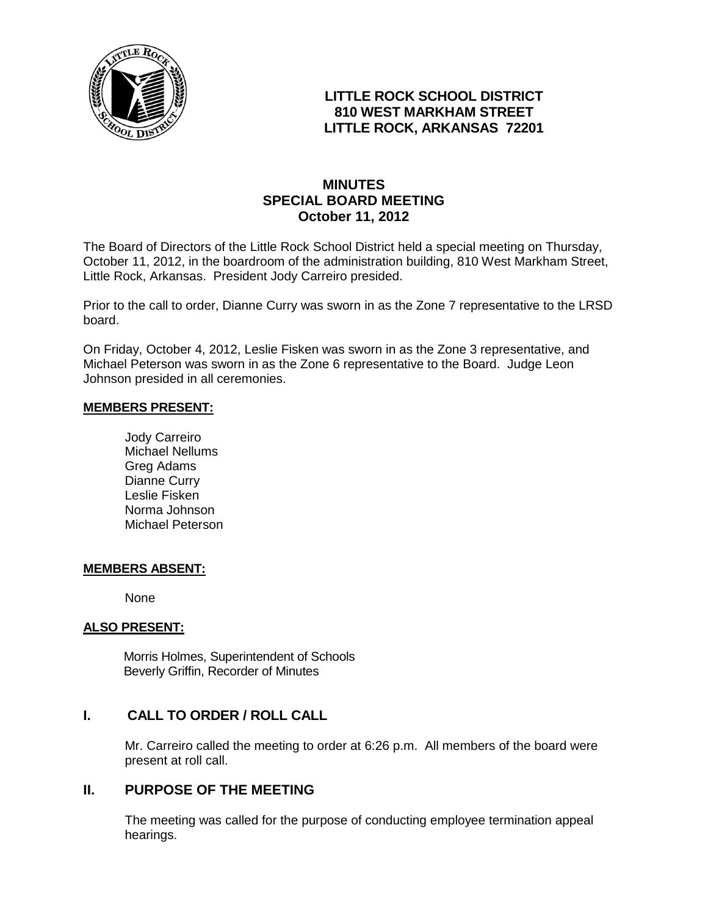

# **LITTLE ROCK SCHOOL DISTRICT 810 WEST MARKHAM STREET LITTLE ROCK, ARKANSAS 72201**

# **MINUTES SPECIAL BOARD MEETING October 11, 2012**

The Board of Directors of the Little Rock School District held a special meeting on Thursday, October 11, 2012, in the boardroom of the administration building, 810 West Markham Street, Little Rock, Arkansas. President Jody Carreiro presided.

Prior to the call to order, Dianne Curry was sworn in as the Zone 7 representative to the LRSD board.

On Friday, October 4, 2012, Leslie Fisken was sworn in as the Zone 3 representative, and Michael Peterson was sworn in as the Zone 6 representative to the Board. Judge Leon Johnson presided in all ceremonies.

#### **MEMBERS PRESENT:**

Jody Carreiro Michael Nellums Greg Adams Dianne Curry Leslie Fisken Norma Johnson Michael Peterson

#### **MEMBERS ABSENT:**

None

### **ALSO PRESENT:**

 Morris Holmes, Superintendent of Schools Beverly Griffin, Recorder of Minutes

### **I. CALL TO ORDER / ROLL CALL**

Mr. Carreiro called the meeting to order at 6:26 p.m. All members of the board were present at roll call.

## **II. PURPOSE OF THE MEETING**

The meeting was called for the purpose of conducting employee termination appeal hearings.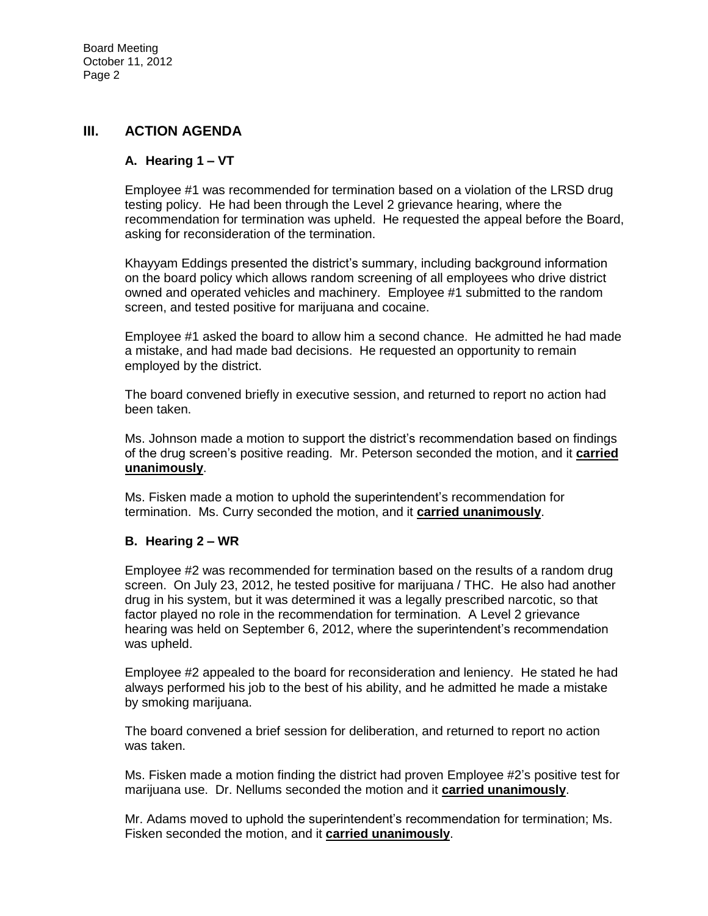### **III. ACTION AGENDA**

### **A. Hearing 1 – VT**

Employee #1 was recommended for termination based on a violation of the LRSD drug testing policy. He had been through the Level 2 grievance hearing, where the recommendation for termination was upheld. He requested the appeal before the Board, asking for reconsideration of the termination.

Khayyam Eddings presented the district's summary, including background information on the board policy which allows random screening of all employees who drive district owned and operated vehicles and machinery. Employee #1 submitted to the random screen, and tested positive for marijuana and cocaine.

Employee #1 asked the board to allow him a second chance. He admitted he had made a mistake, and had made bad decisions. He requested an opportunity to remain employed by the district.

The board convened briefly in executive session, and returned to report no action had been taken.

Ms. Johnson made a motion to support the district's recommendation based on findings of the drug screen's positive reading. Mr. Peterson seconded the motion, and it **carried unanimously**.

Ms. Fisken made a motion to uphold the superintendent's recommendation for termination. Ms. Curry seconded the motion, and it **carried unanimously**.

#### **B. Hearing 2 – WR**

Employee #2 was recommended for termination based on the results of a random drug screen. On July 23, 2012, he tested positive for marijuana / THC. He also had another drug in his system, but it was determined it was a legally prescribed narcotic, so that factor played no role in the recommendation for termination. A Level 2 grievance hearing was held on September 6, 2012, where the superintendent's recommendation was upheld.

Employee #2 appealed to the board for reconsideration and leniency. He stated he had always performed his job to the best of his ability, and he admitted he made a mistake by smoking marijuana.

The board convened a brief session for deliberation, and returned to report no action was taken.

Ms. Fisken made a motion finding the district had proven Employee #2's positive test for marijuana use. Dr. Nellums seconded the motion and it **carried unanimously**.

Mr. Adams moved to uphold the superintendent's recommendation for termination; Ms. Fisken seconded the motion, and it **carried unanimously**.